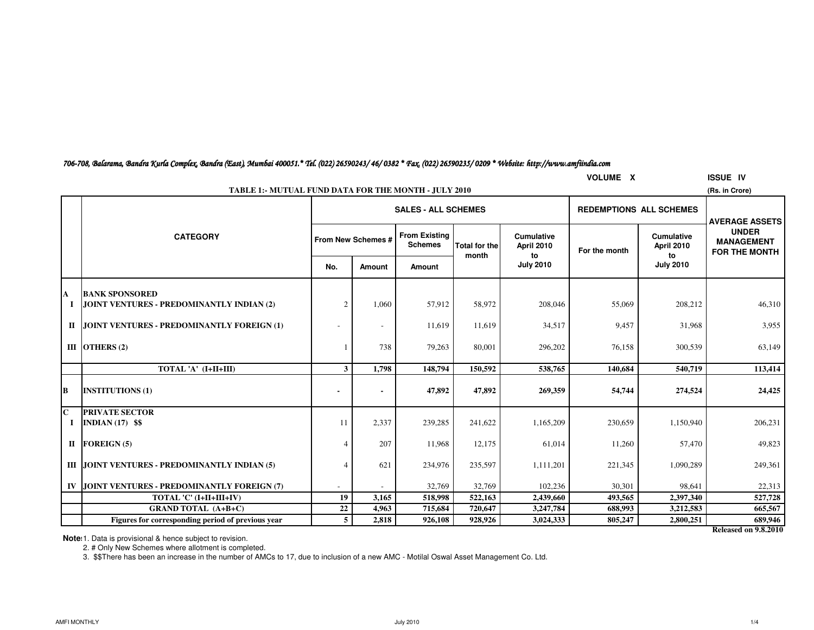| 706-708, Balarama, Bandra Kurla Complex, Bandra (East), Mumbai 400051.* Tel. (022) 26590243/ 46/ 0382 * Fax, (022) 26590235/ 0209 * Website: http://www.amfiindia.com |  |  |  |
|-----------------------------------------------------------------------------------------------------------------------------------------------------------------------|--|--|--|
|-----------------------------------------------------------------------------------------------------------------------------------------------------------------------|--|--|--|

|              | <b>VOLUME X</b><br><b>ISSUE IV</b>                                            |                |                          |                                        |                      |                                 |                                |                                        |                                                           |  |  |  |
|--------------|-------------------------------------------------------------------------------|----------------|--------------------------|----------------------------------------|----------------------|---------------------------------|--------------------------------|----------------------------------------|-----------------------------------------------------------|--|--|--|
|              | <b>TABLE 1:- MUTUAL FUND DATA FOR THE MONTH - JULY 2010</b><br>(Rs. in Crore) |                |                          |                                        |                      |                                 |                                |                                        |                                                           |  |  |  |
|              |                                                                               |                |                          | <b>SALES - ALL SCHEMES</b>             |                      |                                 | <b>REDEMPTIONS ALL SCHEMES</b> |                                        | <b>AVERAGE ASSETS</b>                                     |  |  |  |
|              | <b>CATEGORY</b>                                                               |                | From New Schemes #       | <b>From Existing</b><br><b>Schemes</b> | <b>Total for the</b> | <b>Cumulative</b><br>April 2010 | For the month                  | <b>Cumulative</b><br><b>April 2010</b> | <b>UNDER</b><br><b>MANAGEMENT</b><br><b>FOR THE MONTH</b> |  |  |  |
|              |                                                                               | No.            | Amount                   | <b>Amount</b>                          | month                | to<br><b>July 2010</b>          |                                | to<br><b>July 2010</b>                 |                                                           |  |  |  |
| A            | <b>BANK SPONSORED</b>                                                         |                |                          |                                        |                      |                                 |                                |                                        |                                                           |  |  |  |
| 1            | JOINT VENTURES - PREDOMINANTLY INDIAN (2)                                     | $\overline{c}$ | 1,060                    | 57,912                                 | 58,972               | 208,046                         | 55,069                         | 208,212                                | 46,310                                                    |  |  |  |
| П            | JOINT VENTURES - PREDOMINANTLY FOREIGN (1)                                    |                |                          | 11,619                                 | 11,619               | 34,517                          | 9,457                          | 31,968                                 | 3,955                                                     |  |  |  |
|              | III OTHERS $(2)$                                                              |                | 738                      | 79,263                                 | 80,001               | 296,202                         | 76,158                         | 300,539                                | 63,149                                                    |  |  |  |
|              | TOTAL 'A' (I+II+III)                                                          | 3              | 1,798                    | 148,794                                | 150,592              | 538,765                         | 140,684                        | 540,719                                | 113,414                                                   |  |  |  |
| B            | <b>INSTITUTIONS (1)</b>                                                       |                |                          | 47,892                                 | 47,892               | 269,359                         | 54,744                         | 274,524                                | 24,425                                                    |  |  |  |
| $\mathbf{C}$ | <b>PRIVATE SECTOR</b>                                                         |                |                          |                                        |                      |                                 |                                |                                        |                                                           |  |  |  |
| 1            | INDIAN $(17)$ \$\$                                                            | 11             | 2,337                    | 239,285                                | 241,622              | 1,165,209                       | 230,659                        | 1,150,940                              | 206,231                                                   |  |  |  |
| $\mathbf{I}$ | <b>FOREIGN (5)</b>                                                            | 4              | 207                      | 11,968                                 | 12,175               | 61,014                          | 11,260                         | 57,470                                 | 49,823                                                    |  |  |  |
|              | III JOINT VENTURES - PREDOMINANTLY INDIAN (5)                                 |                | 621                      | 234,976                                | 235,597              | 1,111,201                       | 221,345                        | 1,090,289                              | 249,361                                                   |  |  |  |
| IV           | JOINT VENTURES - PREDOMINANTLY FOREIGN (7)                                    |                | $\overline{\phantom{a}}$ | 32,769                                 | 32,769               | 102,236                         | 30,301                         | 98,641                                 | 22,313                                                    |  |  |  |
|              | TOTAL 'C' (I+II+III+IV)                                                       | 19             | 3,165                    | 518,998                                | 522,163              | 2,439,660                       | 493,565                        | 2,397,340                              | 527,728                                                   |  |  |  |
|              | <b>GRAND TOTAL (A+B+C)</b>                                                    | 22             | 4,963                    | 715,684                                | 720,647              | 3,247,784                       | 688,993                        | 3,212,583                              | 665,567                                                   |  |  |  |
|              | Figures for corresponding period of previous year                             | 5              | 2,818                    | 926,108                                | 928,926              | 3,024,333                       | 805,247                        | 2,800,251                              | 689,946                                                   |  |  |  |

**Released on 9.8.2010**

**Note:** 1. Data is provisional & hence subject to revision.

2. # Only New Schemes where allotment is completed.

3. \$\$There has been an increase in the number of AMCs to 17, due to inclusion of a new AMC - Motilal Oswal Asset Management Co. Ltd.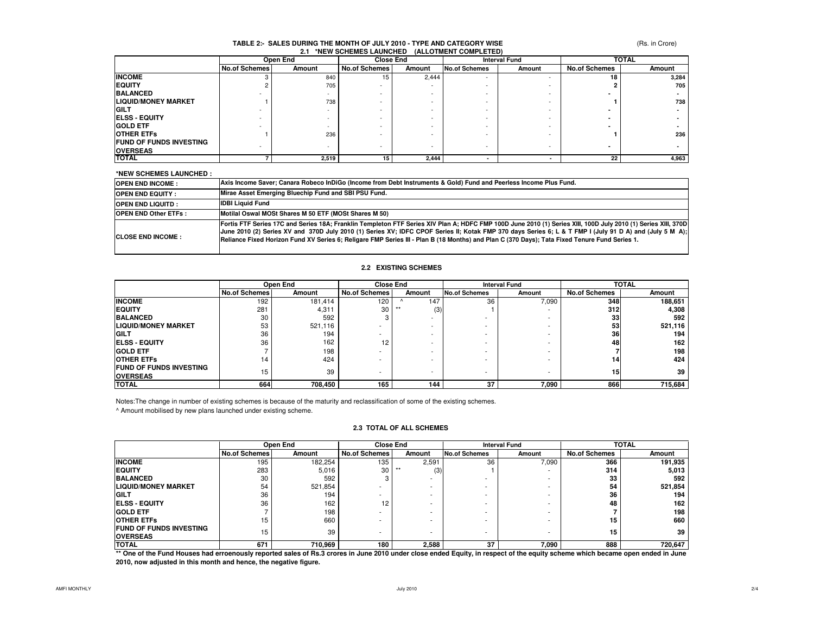### (Rs. in Crore)

### **TABLE 2:- SALES DURING THE MONTH OF JULY 2010 - TYPE AND CATEGORY WISE2.1 \*NEW SCHEMES LAUNCHED (ALLOTMENT COMPLETED)**

|                                | Open End             |        | <b>Close End</b>     |        | <b>Interval Fund</b>     |        | <b>TOTAL</b>         |        |
|--------------------------------|----------------------|--------|----------------------|--------|--------------------------|--------|----------------------|--------|
|                                | <b>No.of Schemes</b> | Amount | <b>No.of Schemes</b> | Amount | No.of Schemes            | Amount | <b>No.of Schemes</b> | Amount |
| <b>INCOME</b>                  |                      | 840    | 15                   | 2.444  | $\overline{\phantom{a}}$ |        | 18                   | 3.284  |
| <b>EQUITY</b>                  |                      | 705    |                      |        |                          |        |                      | 705    |
| <b>BALANCED</b>                |                      |        |                      |        |                          |        |                      |        |
| <b>LIQUID/MONEY MARKET</b>     |                      | 738    |                      |        |                          |        |                      | 738    |
| <b>IGILT</b>                   |                      |        |                      |        |                          |        |                      |        |
| <b>IELSS - EQUITY</b>          |                      |        |                      |        |                          |        |                      |        |
| <b>GOLD ETF</b>                |                      |        |                      |        |                          |        |                      |        |
| <b>OTHER ETFS</b>              |                      | 236    |                      |        |                          |        |                      | 236    |
| <b>FUND OF FUNDS INVESTING</b> |                      |        |                      |        |                          |        |                      |        |
| <b>OVERSEAS</b>                |                      |        |                      | -      | $\overline{\phantom{0}}$ | -      |                      |        |
| <b>TOTAL</b>                   |                      | 2,519  | 15                   | 2,444  |                          |        | 22                   | 4,963  |

#### **\*NEW SCHEMES LAUNCHED :**

| <b>OPEN END INCOME:</b>     | Axis Income Saver: Canara Robeco InDiGo (Income from Debt Instruments & Gold) Fund and Peerless Income Plus Fund.                                                                                                                                                                                                                                                                                                                                                         |
|-----------------------------|---------------------------------------------------------------------------------------------------------------------------------------------------------------------------------------------------------------------------------------------------------------------------------------------------------------------------------------------------------------------------------------------------------------------------------------------------------------------------|
| <b>OPEN END EQUITY:</b>     | Mirae Asset Emerging Bluechip Fund and SBI PSU Fund.                                                                                                                                                                                                                                                                                                                                                                                                                      |
| <b>OPEN END LIQUITD:</b>    | <b>IDBI Liquid Fund</b>                                                                                                                                                                                                                                                                                                                                                                                                                                                   |
| <b>OPEN END Other ETFs:</b> | Motilal Oswal MOSt Shares M 50 ETF (MOSt Shares M 50)                                                                                                                                                                                                                                                                                                                                                                                                                     |
| <b>CLOSE END INCOME:</b>    | Fortis FTF Series 17C and Series 18A; Franklin Templeton FTF Series XIV Plan A; HDFC FMP 100D June 2010 (1) Series XIII, 100D July 2010 (1) Series XIII, 370D<br>June 2010 (2) Series XV and 370D July 2010 (1) Series XV; IDFC CPOF Series II; Kotak FMP 370 days Series 6; L & T FMP I (July 91 D A) and (July 5 M A);<br>Reliance Fixed Horizon Fund XV Series 6; Religare FMP Series III - Plan B (18 Months) and Plan C (370 Days); Tata Fixed Tenure Fund Series 1. |

### **2.2 EXISTING SCHEMES**

|                                                    |                      | Open End | <b>Close End</b>     |              | <b>Interval Fund</b> |        | <b>TOTAL</b>         |         |
|----------------------------------------------------|----------------------|----------|----------------------|--------------|----------------------|--------|----------------------|---------|
|                                                    | <b>No.of Schemes</b> | Amount   | <b>No.of Schemes</b> | Amount       | <b>No.of Schemes</b> | Amount | <b>No.of Schemes</b> | Amount  |
| <b>INCOME</b>                                      | 192                  | 181.414  | 120                  | 147          | 36                   | 7,090  | 348                  | 188,651 |
| <b>EQUITY</b>                                      | 281                  | 4,311    | 30                   | (3)<br>$***$ |                      |        | 312                  | 4,308   |
| <b>BALANCED</b>                                    | 30                   | 592      |                      |              |                      | ۰      | 33                   | 592     |
| <b>LIQUID/MONEY MARKET</b>                         | 53                   | 521,116  |                      |              |                      | ۰      | 53                   | 521,116 |
| <b>GILT</b>                                        | 36                   | 194      |                      |              |                      |        | 36                   | 194     |
| <b>IELSS - EQUITY</b>                              | 36                   | 162      | 12                   |              |                      |        | 48                   | 162     |
| <b>IGOLD ETF</b>                                   |                      | 198      | -                    |              |                      |        |                      | 198     |
| <b>OTHER ETFS</b>                                  | 14                   | 424      |                      |              |                      |        | 14                   | 424     |
| <b>IFUND OF FUNDS INVESTING</b><br><b>OVERSEAS</b> | 15                   | 39       |                      |              |                      | ۰      | 15                   | 39      |
| <b>TOTAL</b>                                       | 664                  | 708,450  | 165                  | 144          | 37                   | 7,090  | 866                  | 715,684 |

Notes:The change in number of existing schemes is because of the maturity and reclassification of some of the existing schemes.

^ Amount mobilised by new plans launched under existing scheme.

### **2.3 TOTAL OF ALL SCHEMES**

|                                                                                                                                                                                | Open End             |         |                      | <b>Close End</b> |                      | <b>Interval Fund</b> |                      | <b>TOTAL</b>    |  |
|--------------------------------------------------------------------------------------------------------------------------------------------------------------------------------|----------------------|---------|----------------------|------------------|----------------------|----------------------|----------------------|-----------------|--|
|                                                                                                                                                                                | <b>No.of Schemes</b> | Amount  | <b>No.of Schemes</b> | Amount           | <b>No.of Schemes</b> | Amount               | <b>No.of Schemes</b> | Amount          |  |
| <b>INCOME</b>                                                                                                                                                                  | 195                  | 182.254 | 135                  | 2,591            | 36                   | 7,090                | 366                  | 191,935         |  |
| <b>EQUITY</b>                                                                                                                                                                  | 283                  | 5.016   | 30                   | $***$<br>(3)     |                      |                      | 314                  | 5,013           |  |
| <b>BALANCED</b>                                                                                                                                                                | 30                   | 592     |                      |                  |                      |                      | 33                   | 592             |  |
| <b>LIQUID/MONEY MARKET</b>                                                                                                                                                     | 54                   | 521.854 |                      |                  |                      |                      | 54                   | 521,854         |  |
| <b>IGILT</b>                                                                                                                                                                   | 36                   | 194     |                      |                  |                      |                      | 36                   | 194             |  |
| <b>ELSS - EQUITY</b>                                                                                                                                                           | 36                   | 162     | 12                   |                  |                      |                      | 48                   | 162             |  |
| <b>GOLD ETF</b>                                                                                                                                                                |                      | 198     |                      |                  |                      |                      |                      | 198             |  |
| <b>OTHER ETFS</b>                                                                                                                                                              | 15                   | 660     |                      |                  |                      |                      | 15                   | 660             |  |
| <b>FUND OF FUNDS INVESTING</b>                                                                                                                                                 |                      | 39      |                      |                  |                      |                      | 15                   | 39 <sup>1</sup> |  |
| <b>OVERSEAS</b>                                                                                                                                                                | 15                   |         |                      |                  |                      |                      |                      |                 |  |
| <b>TOTAL</b>                                                                                                                                                                   | 671                  | 710.969 | 180                  | 2.588            | 37                   | 7.090                | 888                  | 720,647         |  |
| ** One of the Fund Houses had erroenously reported sales of Rs.3 crores in June 2010 under close ended Equity, in respect of the equity scheme which became open ended in June |                      |         |                      |                  |                      |                      |                      |                 |  |

**2010, now adjusted in this month and hence, the negative figure.**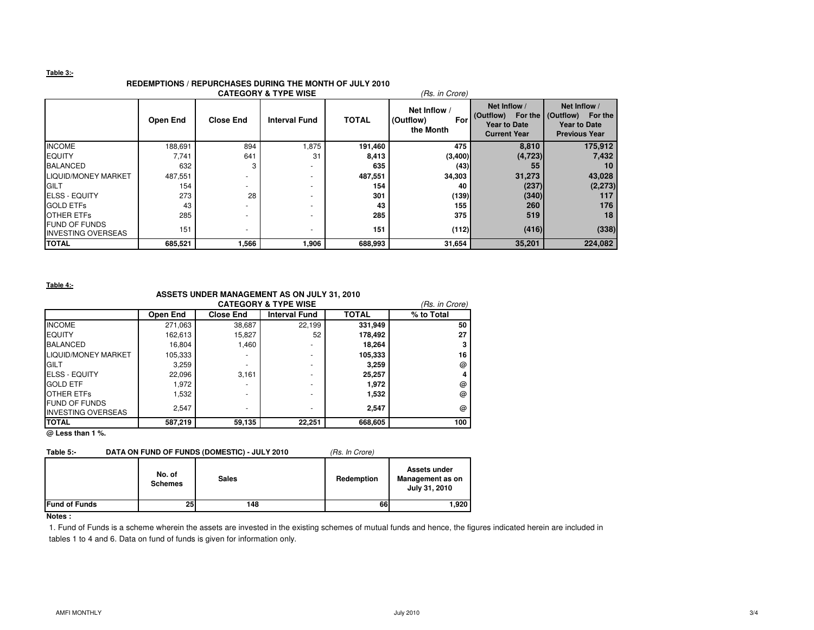### **Table 3:-**

## **REDEMPTIONS / REPURCHASES DURING THE MONTH OF JULY 2010**

|                                                   |          |                          | <b>CATEGORY &amp; TYPE WISE</b> |              | (Rs. in Crore)                                |                                                                                      |                                                                                  |
|---------------------------------------------------|----------|--------------------------|---------------------------------|--------------|-----------------------------------------------|--------------------------------------------------------------------------------------|----------------------------------------------------------------------------------|
|                                                   | Open End | <b>Close End</b>         | <b>Interval Fund</b>            | <b>TOTAL</b> | Net Inflow /<br>(Outflow)<br>For<br>the Month | Net Inflow /<br>(Outflow)<br>For the I<br><b>Year to Date</b><br><b>Current Year</b> | Net Inflow /<br>(Outflow) For the<br><b>Year to Date</b><br><b>Previous Year</b> |
| <b>INCOME</b>                                     | 188,691  | 894                      | 1,875                           | 191,460      | 475                                           | 8,810                                                                                | 175,912                                                                          |
| <b>EQUITY</b>                                     | 7,741    | 641                      | 31                              | 8,413        | (3,400)                                       | (4, 723)                                                                             | 7,432                                                                            |
| <b>BALANCED</b>                                   | 632      |                          |                                 | 635          | (43)                                          | 55                                                                                   | 10                                                                               |
| <b>LIQUID/MONEY MARKET</b>                        | 487,551  | -                        |                                 | 487,551      | 34,303                                        | 31,273                                                                               | 43,028                                                                           |
| GILT                                              | 154      | -                        |                                 | 154          | 40                                            | (237)                                                                                | (2, 273)                                                                         |
| <b>ELSS - EQUITY</b>                              | 273      | 28                       |                                 | 301          | (139)                                         | (340)                                                                                | 117                                                                              |
| <b>GOLD ETFs</b>                                  | 43       |                          |                                 | 43           | 155                                           | 260                                                                                  | 176                                                                              |
| <b>OTHER ETFS</b>                                 | 285      |                          |                                 | 285          | 375                                           | 519                                                                                  | 18                                                                               |
| <b>FUND OF FUNDS</b><br><b>INVESTING OVERSEAS</b> | 151      | $\overline{\phantom{a}}$ |                                 | 151          | (112)                                         | (416)                                                                                | (338)                                                                            |
| <b>TOTAL</b>                                      | 685,521  | 566, ا                   | 1,906                           | 688,993      | 31,654                                        | 35,201                                                                               | 224,082                                                                          |

**Table 4:-**

### **ASSETS UNDER MANAGEMENT AS ON JULY 31, 2010**

|                                                   | (Rs. in Crore) |                  |                      |              |            |
|---------------------------------------------------|----------------|------------------|----------------------|--------------|------------|
|                                                   | Open End       | <b>Close End</b> | <b>Interval Fund</b> | <b>TOTAL</b> | % to Total |
| <b>INCOME</b>                                     | 271.063        | 38.687           | 22.199               | 331,949      | 50         |
| <b>EQUITY</b>                                     | 162,613        | 15,827           | 52                   | 178,492      | 27         |
| <b>BALANCED</b>                                   | 16.804         | 1.460            | -                    | 18.264       |            |
| LIQUID/MONEY MARKET                               | 105,333        |                  | ٠                    | 105,333      | 16         |
| <b>IGILT</b>                                      | 3,259          |                  | ٠                    | 3.259        | @          |
| <b>IELSS - EQUITY</b>                             | 22.096         | 3.161            | -                    | 25,257       |            |
| <b>GOLD ETF</b>                                   | 1.972          |                  | -                    | 1,972        | @          |
| <b>OTHER ETFS</b>                                 | 1,532          |                  | -                    | 1,532        | @          |
| <b>FUND OF FUNDS</b><br><b>INVESTING OVERSEAS</b> | 2,547          |                  | -                    | 2.547        | @          |
| <b>TOTAL</b><br>$\sim$ $\sim$ $\sim$ $\sim$       | 587,219        | 59,135           | 22,251               | 668,605      | 100        |

**@ Less than 1 %.**

### Table 5:- DATA ON FUND OF FUNDS (DOMESTIC) - JULY 2010 (Rs. In Crore)

|                      | No. of<br><b>Schemes</b> | <b>Sales</b> | Redemption | Assets under<br>Management as on<br>July 31, 2010 |
|----------------------|--------------------------|--------------|------------|---------------------------------------------------|
| <b>Fund of Funds</b> | 25 <sub>l</sub>          | 148          | 66         | 1,920                                             |

### **Notes :**

1. Fund of Funds is a scheme wherein the assets are invested in the existing schemes of mutual funds and hence, the figures indicated herein are included in tables 1 to 4 and 6. Data on fund of funds is given for information only.